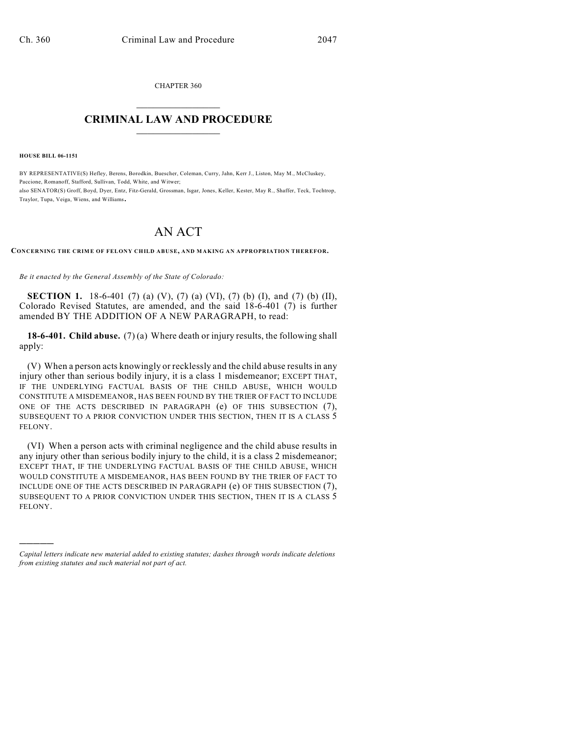CHAPTER 360  $\mathcal{L}_\text{max}$  . The set of the set of the set of the set of the set of the set of the set of the set of the set of the set of the set of the set of the set of the set of the set of the set of the set of the set of the set

## **CRIMINAL LAW AND PROCEDURE**  $\frac{1}{2}$  ,  $\frac{1}{2}$  ,  $\frac{1}{2}$  ,  $\frac{1}{2}$  ,  $\frac{1}{2}$  ,  $\frac{1}{2}$  ,  $\frac{1}{2}$

**HOUSE BILL 06-1151**

)))))

BY REPRESENTATIVE(S) Hefley, Berens, Borodkin, Buescher, Coleman, Curry, Jahn, Kerr J., Liston, May M., McCluskey, Paccione, Romanoff, Stafford, Sullivan, Todd, White, and Witwer; also SENATOR(S) Groff, Boyd, Dyer, Entz, Fitz-Gerald, Grossman, Isgar, Jones, Keller, Kester, May R., Shaffer, Teck, Tochtrop, Traylor, Tupa, Veiga, Wiens, and Williams.

## AN ACT

**CONCERNING THE CRIME OF FELONY CHILD ABUSE, AND MAKING AN APPROPRIATION THEREFOR.**

*Be it enacted by the General Assembly of the State of Colorado:*

**SECTION 1.** 18-6-401 (7) (a) (V), (7) (a) (VI), (7) (b) (I), and (7) (b) (II), Colorado Revised Statutes, are amended, and the said 18-6-401 (7) is further amended BY THE ADDITION OF A NEW PARAGRAPH, to read:

**18-6-401. Child abuse.** (7) (a) Where death or injury results, the following shall apply:

(V) When a person acts knowingly or recklessly and the child abuse results in any injury other than serious bodily injury, it is a class 1 misdemeanor; EXCEPT THAT, IF THE UNDERLYING FACTUAL BASIS OF THE CHILD ABUSE, WHICH WOULD CONSTITUTE A MISDEMEANOR, HAS BEEN FOUND BY THE TRIER OF FACT TO INCLUDE ONE OF THE ACTS DESCRIBED IN PARAGRAPH (e) OF THIS SUBSECTION (7), SUBSEQUENT TO A PRIOR CONVICTION UNDER THIS SECTION, THEN IT IS A CLASS 5 FELONY.

(VI) When a person acts with criminal negligence and the child abuse results in any injury other than serious bodily injury to the child, it is a class 2 misdemeanor; EXCEPT THAT, IF THE UNDERLYING FACTUAL BASIS OF THE CHILD ABUSE, WHICH WOULD CONSTITUTE A MISDEMEANOR, HAS BEEN FOUND BY THE TRIER OF FACT TO INCLUDE ONE OF THE ACTS DESCRIBED IN PARAGRAPH (e) OF THIS SUBSECTION (7), SUBSEQUENT TO A PRIOR CONVICTION UNDER THIS SECTION, THEN IT IS A CLASS 5 FELONY.

*Capital letters indicate new material added to existing statutes; dashes through words indicate deletions from existing statutes and such material not part of act.*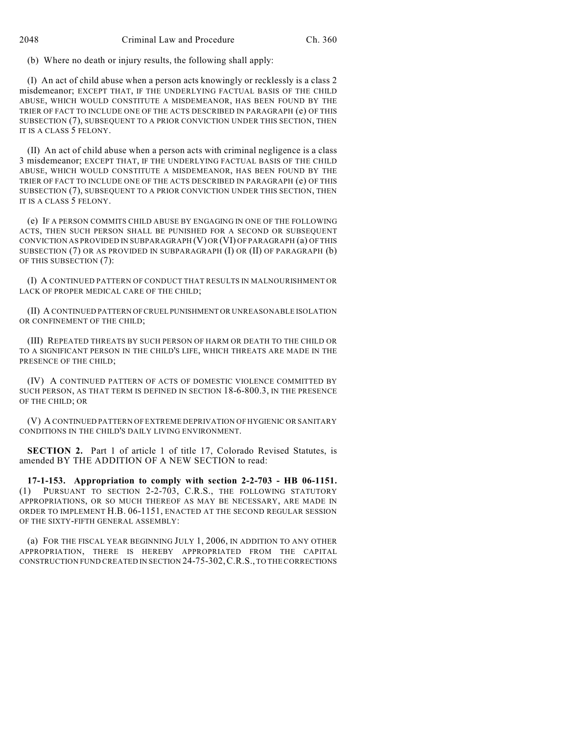(b) Where no death or injury results, the following shall apply:

(I) An act of child abuse when a person acts knowingly or recklessly is a class 2 misdemeanor; EXCEPT THAT, IF THE UNDERLYING FACTUAL BASIS OF THE CHILD ABUSE, WHICH WOULD CONSTITUTE A MISDEMEANOR, HAS BEEN FOUND BY THE TRIER OF FACT TO INCLUDE ONE OF THE ACTS DESCRIBED IN PARAGRAPH (e) OF THIS SUBSECTION (7), SUBSEQUENT TO A PRIOR CONVICTION UNDER THIS SECTION, THEN IT IS A CLASS 5 FELONY.

(II) An act of child abuse when a person acts with criminal negligence is a class 3 misdemeanor; EXCEPT THAT, IF THE UNDERLYING FACTUAL BASIS OF THE CHILD ABUSE, WHICH WOULD CONSTITUTE A MISDEMEANOR, HAS BEEN FOUND BY THE TRIER OF FACT TO INCLUDE ONE OF THE ACTS DESCRIBED IN PARAGRAPH (e) OF THIS SUBSECTION (7), SUBSEQUENT TO A PRIOR CONVICTION UNDER THIS SECTION, THEN IT IS A CLASS 5 FELONY.

(e) IF A PERSON COMMITS CHILD ABUSE BY ENGAGING IN ONE OF THE FOLLOWING ACTS, THEN SUCH PERSON SHALL BE PUNISHED FOR A SECOND OR SUBSEQUENT CONVICTION AS PROVIDED IN SUBPARAGRAPH (V) OR (VI) OF PARAGRAPH (a) OF THIS SUBSECTION (7) OR AS PROVIDED IN SUBPARAGRAPH (I) OR (II) OF PARAGRAPH (b) OF THIS SUBSECTION (7):

(I) A CONTINUED PATTERN OF CONDUCT THAT RESULTS IN MALNOURISHMENT OR LACK OF PROPER MEDICAL CARE OF THE CHILD;

(II) A CONTINUED PATTERN OF CRUEL PUNISHMENT OR UNREASONABLE ISOLATION OR CONFINEMENT OF THE CHILD;

(III) REPEATED THREATS BY SUCH PERSON OF HARM OR DEATH TO THE CHILD OR TO A SIGNIFICANT PERSON IN THE CHILD'S LIFE, WHICH THREATS ARE MADE IN THE PRESENCE OF THE CHILD;

(IV) A CONTINUED PATTERN OF ACTS OF DOMESTIC VIOLENCE COMMITTED BY SUCH PERSON, AS THAT TERM IS DEFINED IN SECTION 18-6-800.3, IN THE PRESENCE OF THE CHILD; OR

(V) A CONTINUED PATTERN OF EXTREME DEPRIVATION OF HYGIENIC OR SANITARY CONDITIONS IN THE CHILD'S DAILY LIVING ENVIRONMENT.

**SECTION 2.** Part 1 of article 1 of title 17, Colorado Revised Statutes, is amended BY THE ADDITION OF A NEW SECTION to read:

**17-1-153. Appropriation to comply with section 2-2-703 - HB 06-1151.** (1) PURSUANT TO SECTION 2-2-703, C.R.S., THE FOLLOWING STATUTORY APPROPRIATIONS, OR SO MUCH THEREOF AS MAY BE NECESSARY, ARE MADE IN ORDER TO IMPLEMENT H.B. 06-1151, ENACTED AT THE SECOND REGULAR SESSION OF THE SIXTY-FIFTH GENERAL ASSEMBLY:

(a) FOR THE FISCAL YEAR BEGINNING JULY 1, 2006, IN ADDITION TO ANY OTHER APPROPRIATION, THERE IS HEREBY APPROPRIATED FROM THE CAPITAL CONSTRUCTION FUND CREATED IN SECTION 24-75-302,C.R.S., TO THE CORRECTIONS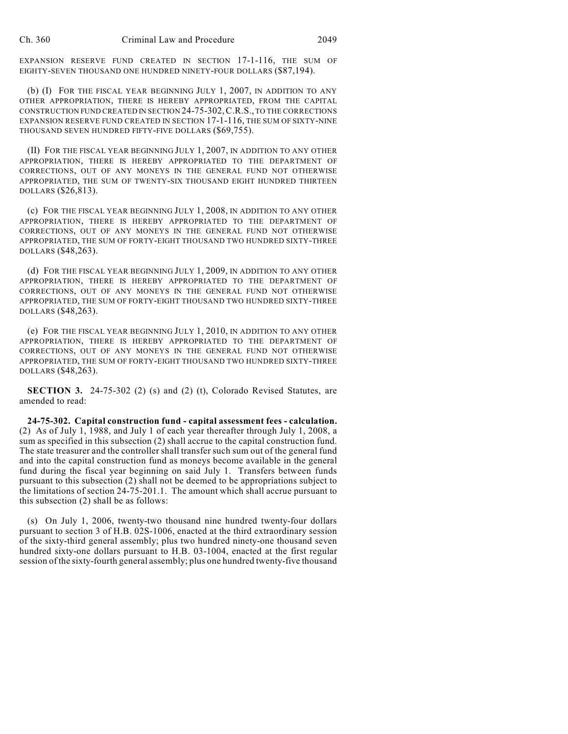EXPANSION RESERVE FUND CREATED IN SECTION 17-1-116, THE SUM OF EIGHTY-SEVEN THOUSAND ONE HUNDRED NINETY-FOUR DOLLARS (\$87,194).

(b) (I) FOR THE FISCAL YEAR BEGINNING JULY 1, 2007, IN ADDITION TO ANY OTHER APPROPRIATION, THERE IS HEREBY APPROPRIATED, FROM THE CAPITAL CONSTRUCTION FUND CREATED IN SECTION 24-75-302,C.R.S., TO THE CORRECTIONS EXPANSION RESERVE FUND CREATED IN SECTION 17-1-116, THE SUM OF SIXTY-NINE THOUSAND SEVEN HUNDRED FIFTY-FIVE DOLLARS (\$69,755).

(II) FOR THE FISCAL YEAR BEGINNING JULY 1, 2007, IN ADDITION TO ANY OTHER APPROPRIATION, THERE IS HEREBY APPROPRIATED TO THE DEPARTMENT OF CORRECTIONS, OUT OF ANY MONEYS IN THE GENERAL FUND NOT OTHERWISE APPROPRIATED, THE SUM OF TWENTY-SIX THOUSAND EIGHT HUNDRED THIRTEEN DOLLARS (\$26,813).

(c) FOR THE FISCAL YEAR BEGINNING JULY 1, 2008, IN ADDITION TO ANY OTHER APPROPRIATION, THERE IS HEREBY APPROPRIATED TO THE DEPARTMENT OF CORRECTIONS, OUT OF ANY MONEYS IN THE GENERAL FUND NOT OTHERWISE APPROPRIATED, THE SUM OF FORTY-EIGHT THOUSAND TWO HUNDRED SIXTY-THREE DOLLARS (\$48,263).

(d) FOR THE FISCAL YEAR BEGINNING JULY 1, 2009, IN ADDITION TO ANY OTHER APPROPRIATION, THERE IS HEREBY APPROPRIATED TO THE DEPARTMENT OF CORRECTIONS, OUT OF ANY MONEYS IN THE GENERAL FUND NOT OTHERWISE APPROPRIATED, THE SUM OF FORTY-EIGHT THOUSAND TWO HUNDRED SIXTY-THREE DOLLARS (\$48,263).

(e) FOR THE FISCAL YEAR BEGINNING JULY 1, 2010, IN ADDITION TO ANY OTHER APPROPRIATION, THERE IS HEREBY APPROPRIATED TO THE DEPARTMENT OF CORRECTIONS, OUT OF ANY MONEYS IN THE GENERAL FUND NOT OTHERWISE APPROPRIATED, THE SUM OF FORTY-EIGHT THOUSAND TWO HUNDRED SIXTY-THREE DOLLARS (\$48,263).

**SECTION 3.** 24-75-302 (2) (s) and (2) (t), Colorado Revised Statutes, are amended to read:

**24-75-302. Capital construction fund - capital assessment fees - calculation.** (2) As of July 1, 1988, and July 1 of each year thereafter through July 1, 2008, a sum as specified in this subsection (2) shall accrue to the capital construction fund. The state treasurer and the controller shall transfer such sum out of the general fund and into the capital construction fund as moneys become available in the general fund during the fiscal year beginning on said July 1. Transfers between funds pursuant to this subsection (2) shall not be deemed to be appropriations subject to the limitations of section 24-75-201.1. The amount which shall accrue pursuant to this subsection (2) shall be as follows:

(s) On July 1, 2006, twenty-two thousand nine hundred twenty-four dollars pursuant to section 3 of H.B. 02S-1006, enacted at the third extraordinary session of the sixty-third general assembly; plus two hundred ninety-one thousand seven hundred sixty-one dollars pursuant to H.B. 03-1004, enacted at the first regular session of the sixty-fourth general assembly; plus one hundred twenty-five thousand